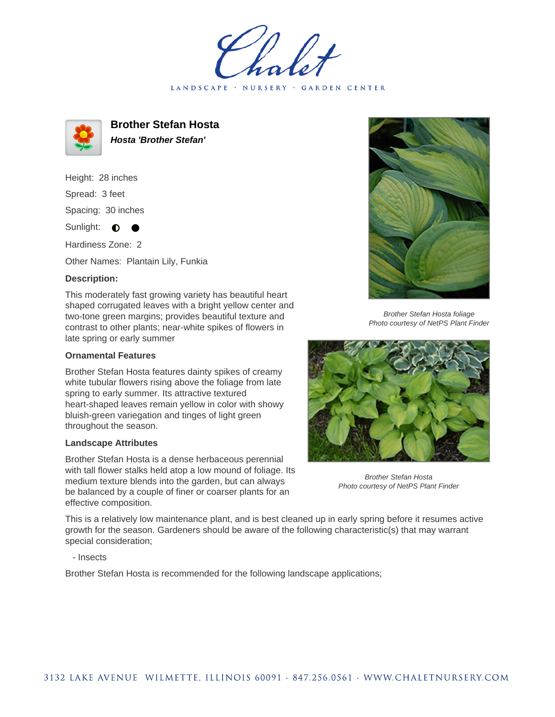LANDSCAPE · NURSERY · GARDEN CENTER



**Brother Stefan Hosta Hosta 'Brother Stefan'**

Height: 28 inches Spread: 3 feet Spacing: 30 inches

Sunlight:  $\bullet$ 

Hardiness Zone: 2

Other Names: Plantain Lily, Funkia

## **Description:**

This moderately fast growing variety has beautiful heart shaped corrugated leaves with a bright yellow center and two-tone green margins; provides beautiful texture and contrast to other plants; near-white spikes of flowers in late spring or early summer

## **Ornamental Features**

Brother Stefan Hosta features dainty spikes of creamy white tubular flowers rising above the foliage from late spring to early summer. Its attractive textured heart-shaped leaves remain yellow in color with showy bluish-green variegation and tinges of light green throughout the season.

## **Landscape Attributes**

Brother Stefan Hosta is a dense herbaceous perennial with tall flower stalks held atop a low mound of foliage. Its medium texture blends into the garden, but can always be balanced by a couple of finer or coarser plants for an effective composition.



Brother Stefan Hosta foliage Photo courtesy of NetPS Plant Finder



Brother Stefan Hosta Photo courtesy of NetPS Plant Finder

This is a relatively low maintenance plant, and is best cleaned up in early spring before it resumes active growth for the season. Gardeners should be aware of the following characteristic(s) that may warrant special consideration;

- Insects

Brother Stefan Hosta is recommended for the following landscape applications;